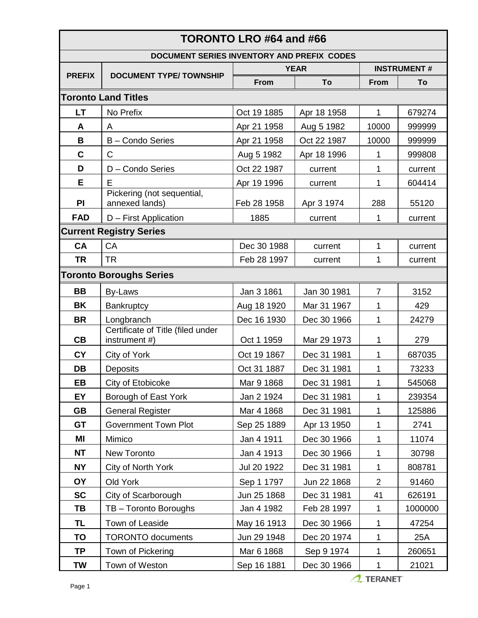| TORONTO LRO #64 and #66                    |                                                    |             |             |                    |         |  |  |
|--------------------------------------------|----------------------------------------------------|-------------|-------------|--------------------|---------|--|--|
| DOCUMENT SERIES INVENTORY AND PREFIX CODES |                                                    |             |             |                    |         |  |  |
| <b>PREFIX</b>                              | <b>DOCUMENT TYPE/TOWNSHIP</b>                      | <b>YEAR</b> |             | <b>INSTRUMENT#</b> |         |  |  |
|                                            |                                                    | <b>From</b> | To          | <b>From</b>        | To      |  |  |
|                                            | <b>Toronto Land Titles</b>                         |             |             |                    |         |  |  |
| LT                                         | No Prefix                                          | Oct 19 1885 | Apr 18 1958 | $\mathbf{1}$       | 679274  |  |  |
| A                                          | A                                                  | Apr 21 1958 | Aug 5 1982  | 10000              | 999999  |  |  |
| B                                          | B - Condo Series                                   | Apr 21 1958 | Oct 22 1987 | 10000              | 999999  |  |  |
| C                                          | C                                                  | Aug 5 1982  | Apr 18 1996 | 1                  | 999808  |  |  |
| D                                          | D - Condo Series                                   | Oct 22 1987 | current     | 1                  | current |  |  |
| Е                                          | E                                                  | Apr 19 1996 | current     | 1                  | 604414  |  |  |
| PI                                         | Pickering (not sequential,<br>annexed lands)       | Feb 28 1958 | Apr 3 1974  | 288                | 55120   |  |  |
| <b>FAD</b>                                 | D - First Application                              | 1885        | current     | 1                  | current |  |  |
| <b>Current Registry Series</b>             |                                                    |             |             |                    |         |  |  |
| <b>CA</b>                                  | <b>CA</b>                                          | Dec 30 1988 | current     | 1                  | current |  |  |
| <b>TR</b>                                  | <b>TR</b>                                          | Feb 28 1997 | current     | 1                  | current |  |  |
| <b>Toronto Boroughs Series</b>             |                                                    |             |             |                    |         |  |  |
| <b>BB</b>                                  | By-Laws                                            | Jan 3 1861  | Jan 30 1981 | $\overline{7}$     | 3152    |  |  |
| <b>BK</b>                                  | Bankruptcy                                         | Aug 18 1920 | Mar 31 1967 | 1                  | 429     |  |  |
| <b>BR</b>                                  | Longbranch                                         | Dec 16 1930 | Dec 30 1966 | 1                  | 24279   |  |  |
| CB                                         | Certificate of Title (filed under<br>instrument #) | Oct 1 1959  | Mar 29 1973 | 1                  | 279     |  |  |
| <b>CY</b>                                  | City of York                                       | Oct 19 1867 | Dec 31 1981 | 1                  | 687035  |  |  |
| DB                                         | Deposits                                           | Oct 31 1887 | Dec 31 1981 | 1                  | 73233   |  |  |
| EВ                                         | City of Etobicoke                                  | Mar 9 1868  | Dec 31 1981 | 1                  | 545068  |  |  |
| EY                                         | Borough of East York                               | Jan 2 1924  | Dec 31 1981 | 1                  | 239354  |  |  |
| <b>GB</b>                                  | <b>General Register</b>                            | Mar 4 1868  | Dec 31 1981 | 1                  | 125886  |  |  |
| <b>GT</b>                                  | <b>Government Town Plot</b>                        | Sep 25 1889 | Apr 13 1950 | 1                  | 2741    |  |  |
| MI                                         | Mimico                                             | Jan 4 1911  | Dec 30 1966 | 1                  | 11074   |  |  |
| <b>NT</b>                                  | New Toronto                                        | Jan 4 1913  | Dec 30 1966 | 1                  | 30798   |  |  |
| <b>NY</b>                                  | City of North York                                 | Jul 20 1922 | Dec 31 1981 | 1                  | 808781  |  |  |
| <b>OY</b>                                  | Old York                                           | Sep 1 1797  | Jun 22 1868 | $\overline{2}$     | 91460   |  |  |
| <b>SC</b>                                  | City of Scarborough                                | Jun 25 1868 | Dec 31 1981 | 41                 | 626191  |  |  |
| TΒ                                         | TB - Toronto Boroughs                              | Jan 4 1982  | Feb 28 1997 | 1                  | 1000000 |  |  |
| TL                                         | Town of Leaside                                    | May 16 1913 | Dec 30 1966 | 1                  | 47254   |  |  |
| TO                                         | <b>TORONTO</b> documents                           | Jun 29 1948 | Dec 20 1974 | 1                  | 25A     |  |  |
| <b>TP</b>                                  | Town of Pickering                                  | Mar 6 1868  | Sep 9 1974  | 1                  | 260651  |  |  |
| <b>TW</b>                                  | Town of Weston                                     | Sep 16 1881 | Dec 30 1966 | 1                  | 21021   |  |  |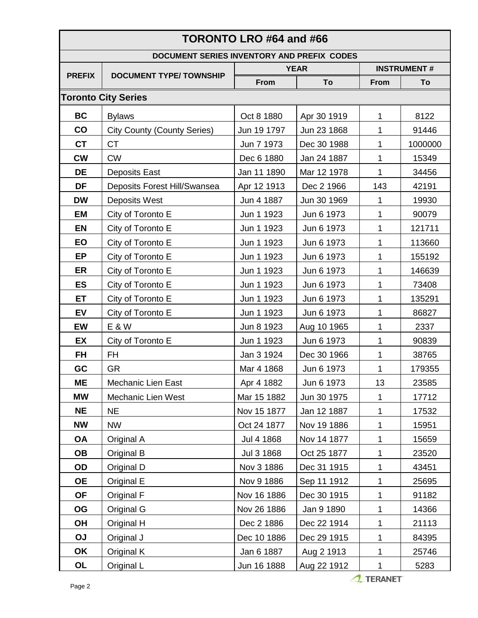| TORONTO LRO #64 and #66                    |                                    |             |             |                    |         |  |  |
|--------------------------------------------|------------------------------------|-------------|-------------|--------------------|---------|--|--|
| DOCUMENT SERIES INVENTORY AND PREFIX CODES |                                    |             |             |                    |         |  |  |
| <b>PREFIX</b>                              | <b>DOCUMENT TYPE/TOWNSHIP</b>      | <b>YEAR</b> |             | <b>INSTRUMENT#</b> |         |  |  |
|                                            |                                    | <b>From</b> | To          | <b>From</b>        | To      |  |  |
|                                            | <b>Toronto City Series</b>         |             |             |                    |         |  |  |
| <b>BC</b>                                  | <b>Bylaws</b>                      | Oct 8 1880  | Apr 30 1919 | 1                  | 8122    |  |  |
| CO                                         | <b>City County (County Series)</b> | Jun 19 1797 | Jun 23 1868 | 1                  | 91446   |  |  |
| <b>CT</b>                                  | <b>CT</b>                          | Jun 7 1973  | Dec 30 1988 | 1                  | 1000000 |  |  |
| <b>CW</b>                                  | <b>CW</b>                          | Dec 6 1880  | Jan 24 1887 | 1                  | 15349   |  |  |
| <b>DE</b>                                  | <b>Deposits East</b>               | Jan 11 1890 | Mar 12 1978 | 1                  | 34456   |  |  |
| DF                                         | Deposits Forest Hill/Swansea       | Apr 12 1913 | Dec 2 1966  | 143                | 42191   |  |  |
| <b>DW</b>                                  | <b>Deposits West</b>               | Jun 4 1887  | Jun 30 1969 | 1                  | 19930   |  |  |
| <b>EM</b>                                  | City of Toronto E                  | Jun 1 1923  | Jun 6 1973  | 1                  | 90079   |  |  |
| <b>EN</b>                                  | City of Toronto E                  | Jun 1 1923  | Jun 6 1973  | 1                  | 121711  |  |  |
| EO                                         | City of Toronto E                  | Jun 1 1923  | Jun 6 1973  | 1                  | 113660  |  |  |
| <b>EP</b>                                  | City of Toronto E                  | Jun 1 1923  | Jun 6 1973  | 1                  | 155192  |  |  |
| ER                                         | City of Toronto E                  | Jun 1 1923  | Jun 6 1973  | 1                  | 146639  |  |  |
| <b>ES</b>                                  | City of Toronto E                  | Jun 1 1923  | Jun 6 1973  | 1                  | 73408   |  |  |
| ET                                         | City of Toronto E                  | Jun 1 1923  | Jun 6 1973  | 1                  | 135291  |  |  |
| <b>EV</b>                                  | City of Toronto E                  | Jun 1 1923  | Jun 6 1973  | 1                  | 86827   |  |  |
| <b>EW</b>                                  | E & W                              | Jun 8 1923  | Aug 10 1965 | 1                  | 2337    |  |  |
| EX                                         | City of Toronto E                  | Jun 1 1923  | Jun 6 1973  | 1                  | 90839   |  |  |
| <b>FH</b>                                  | <b>FH</b>                          | Jan 3 1924  | Dec 30 1966 | 1                  | 38765   |  |  |
| GC                                         | <b>GR</b>                          | Mar 4 1868  | Jun 6 1973  | 1                  | 179355  |  |  |
| <b>ME</b>                                  | Mechanic Lien East                 | Apr 4 1882  | Jun 6 1973  | 13                 | 23585   |  |  |
| <b>MW</b>                                  | Mechanic Lien West                 | Mar 15 1882 | Jun 30 1975 | $\mathbf 1$        | 17712   |  |  |
| <b>NE</b>                                  | <b>NE</b>                          | Nov 15 1877 | Jan 12 1887 | $\mathbf{1}$       | 17532   |  |  |
| <b>NW</b>                                  | <b>NW</b>                          | Oct 24 1877 | Nov 19 1886 | 1                  | 15951   |  |  |
| <b>OA</b>                                  | Original A                         | Jul 4 1868  | Nov 14 1877 | 1                  | 15659   |  |  |
| <b>OB</b>                                  | Original B                         | Jul 3 1868  | Oct 25 1877 | 1                  | 23520   |  |  |
| OD                                         | Original D                         | Nov 3 1886  | Dec 31 1915 | 1                  | 43451   |  |  |
| <b>OE</b>                                  | Original E                         | Nov 9 1886  | Sep 11 1912 | 1                  | 25695   |  |  |
| <b>OF</b>                                  | Original F                         | Nov 16 1886 | Dec 30 1915 | $\mathbf 1$        | 91182   |  |  |
| OG                                         | Original G                         | Nov 26 1886 | Jan 9 1890  | 1                  | 14366   |  |  |
| <b>OH</b>                                  | Original H                         | Dec 2 1886  | Dec 22 1914 | $\mathbf 1$        | 21113   |  |  |
| <b>OJ</b>                                  | Original J                         | Dec 10 1886 | Dec 29 1915 | $\mathbf 1$        | 84395   |  |  |
| OK                                         | Original K                         | Jan 6 1887  | Aug 2 1913  | 1                  | 25746   |  |  |
| <b>OL</b>                                  | Original L                         | Jun 16 1888 | Aug 22 1912 | $\mathbf 1$        | 5283    |  |  |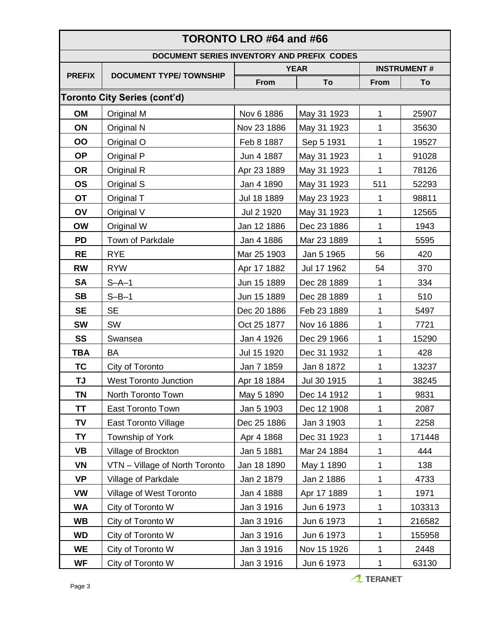|                                            |                                | TORONTO LRO #64 and #66 |             |                    |        |
|--------------------------------------------|--------------------------------|-------------------------|-------------|--------------------|--------|
| DOCUMENT SERIES INVENTORY AND PREFIX CODES |                                |                         |             |                    |        |
| <b>PREFIX</b>                              | <b>DOCUMENT TYPE/TOWNSHIP</b>  | <b>YEAR</b>             |             | <b>INSTRUMENT#</b> |        |
|                                            |                                | <b>From</b>             | To          | From               | To     |
|                                            | Toronto City Series (cont'd)   |                         |             |                    |        |
| OM                                         | Original M                     | Nov 6 1886              | May 31 1923 | $\mathbf{1}$       | 25907  |
| ON                                         | Original N                     | Nov 23 1886             | May 31 1923 | 1                  | 35630  |
| OO                                         | Original O                     | Feb 8 1887              | Sep 5 1931  | 1                  | 19527  |
| <b>OP</b>                                  | Original P                     | Jun 4 1887              | May 31 1923 | 1                  | 91028  |
| <b>OR</b>                                  | Original R                     | Apr 23 1889             | May 31 1923 | 1                  | 78126  |
| <b>OS</b>                                  | Original S                     | Jan 4 1890              | May 31 1923 | 511                | 52293  |
| <b>OT</b>                                  | Original T                     | Jul 18 1889             | May 23 1923 | 1                  | 98811  |
| OV                                         | Original V                     | Jul 2 1920              | May 31 1923 | 1                  | 12565  |
| <b>OW</b>                                  | Original W                     | Jan 12 1886             | Dec 23 1886 | 1                  | 1943   |
| <b>PD</b>                                  | <b>Town of Parkdale</b>        | Jan 4 1886              | Mar 23 1889 | 1                  | 5595   |
| <b>RE</b>                                  | <b>RYE</b>                     | Mar 25 1903             | Jan 5 1965  | 56                 | 420    |
| <b>RW</b>                                  | <b>RYW</b>                     | Apr 17 1882             | Jul 17 1962 | 54                 | 370    |
| <b>SA</b>                                  | $S-A-1$                        | Jun 15 1889             | Dec 28 1889 | 1                  | 334    |
| <b>SB</b>                                  | $S-B-1$                        | Jun 15 1889             | Dec 28 1889 | 1                  | 510    |
| <b>SE</b>                                  | <b>SE</b>                      | Dec 20 1886             | Feb 23 1889 | 1                  | 5497   |
| <b>SW</b>                                  | <b>SW</b>                      | Oct 25 1877             | Nov 16 1886 | 1                  | 7721   |
| SS                                         | Swansea                        | Jan 4 1926              | Dec 29 1966 | 1                  | 15290  |
| <b>TBA</b>                                 | <b>BA</b>                      | Jul 15 1920             | Dec 31 1932 | 1                  | 428    |
| <b>TC</b>                                  | City of Toronto                | Jan 7 1859              | Jan 8 1872  | 1                  | 13237  |
| TJ                                         | <b>West Toronto Junction</b>   | Apr 18 1884             | Jul 30 1915 | 1                  | 38245  |
| <b>TN</b>                                  | North Toronto Town             | May 5 1890              | Dec 14 1912 | 1                  | 9831   |
| ΤT                                         | <b>East Toronto Town</b>       | Jan 5 1903              | Dec 12 1908 | 1                  | 2087   |
| <b>TV</b>                                  | East Toronto Village           | Dec 25 1886             | Jan 3 1903  | 1                  | 2258   |
| <b>TY</b>                                  | Township of York               | Apr 4 1868              | Dec 31 1923 | 1                  | 171448 |
| VB                                         | Village of Brockton            | Jan 5 1881              | Mar 24 1884 | 1                  | 444    |
| <b>VN</b>                                  | VTN - Village of North Toronto | Jan 18 1890             | May 1 1890  | 1                  | 138    |
| <b>VP</b>                                  | Village of Parkdale            | Jan 2 1879              | Jan 2 1886  | 1                  | 4733   |
| <b>VW</b>                                  | Village of West Toronto        | Jan 4 1888              | Apr 17 1889 | 1                  | 1971   |
| <b>WA</b>                                  | City of Toronto W              | Jan 3 1916              | Jun 6 1973  | 1                  | 103313 |
| <b>WB</b>                                  | City of Toronto W              | Jan 3 1916              | Jun 6 1973  | 1                  | 216582 |
| <b>WD</b>                                  | City of Toronto W              | Jan 3 1916              | Jun 6 1973  | 1                  | 155958 |
| <b>WE</b>                                  | City of Toronto W              | Jan 3 1916              | Nov 15 1926 | 1                  | 2448   |
| <b>WF</b>                                  | City of Toronto W              | Jan 3 1916              | Jun 6 1973  | 1                  | 63130  |